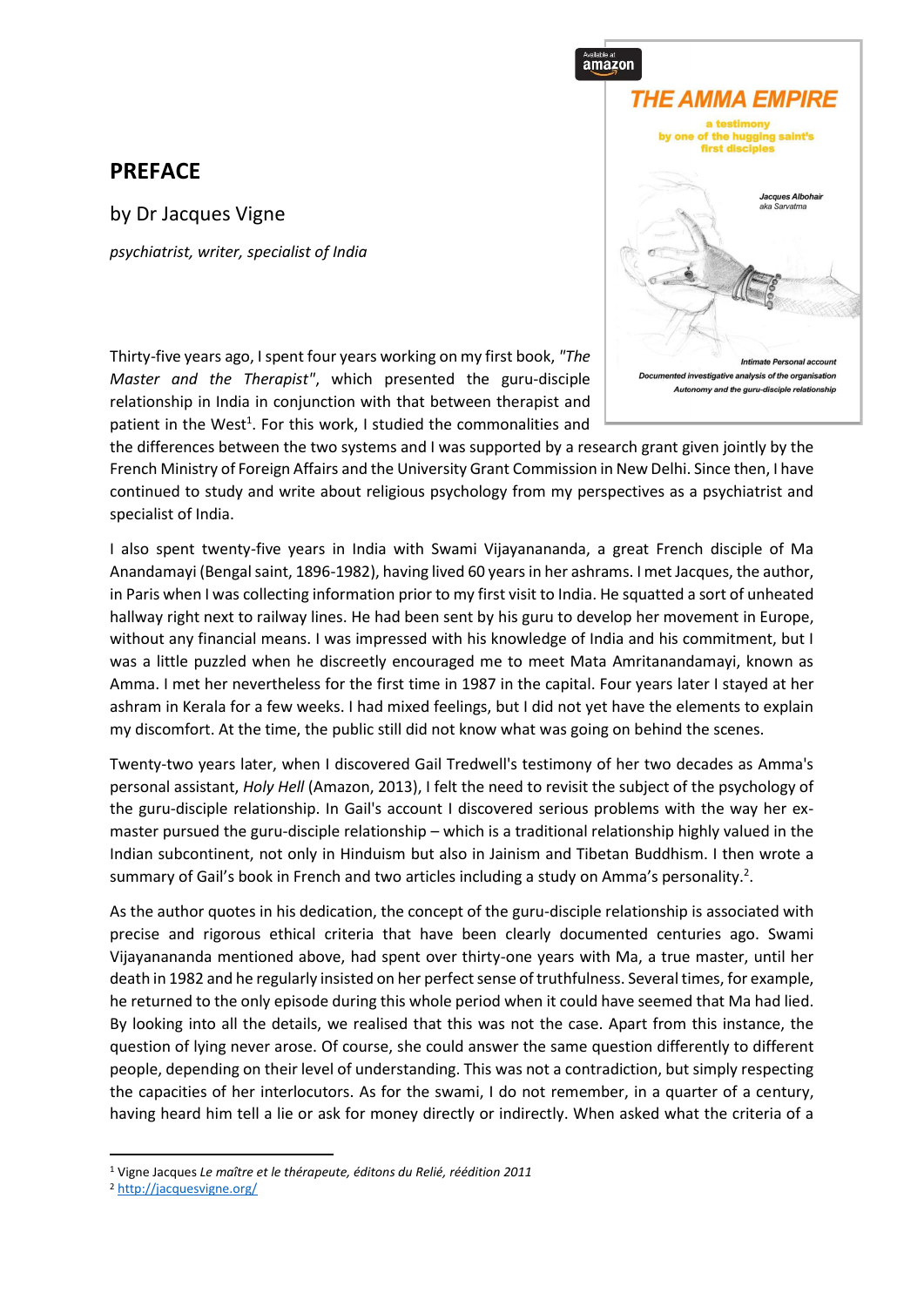## **PREFACE**

by Dr Jacques Vigne *psychiatrist, writer, specialist of India*



Thirty-five years ago, I spent four years working on my first book, *"The Master and the Therapist"*, which presented the guru-disciple relationship in India in conjunction with that between therapist and patient in the West<sup>1</sup>. For this work, I studied the commonalities and

the differences between the two systems and I was supported by a research grant given jointly by the French Ministry of Foreign Affairs and the University Grant Commission in New Delhi. Since then, I have continued to study and write about religious psychology from my perspectives as a psychiatrist and specialist of India.

I also spent twenty-five years in India with Swami Vijayanananda, a great French disciple of Ma Anandamayi (Bengal saint, 1896-1982), having lived 60 years in her ashrams. I met Jacques, the author, in Paris when I was collecting information prior to my first visit to India. He squatted a sort of unheated hallway right next to railway lines. He had been sent by his guru to develop her movement in Europe, without any financial means. I was impressed with his knowledge of India and his commitment, but I was a little puzzled when he discreetly encouraged me to meet Mata Amritanandamayi, known as Amma. I met her nevertheless for the first time in 1987 in the capital. Four years later I stayed at her ashram in Kerala for a few weeks. I had mixed feelings, but I did not yet have the elements to explain my discomfort. At the time, the public still did not know what was going on behind the scenes.

Twenty-two years later, when I discovered Gail Tredwell's testimony of her two decades as Amma's personal assistant, *Holy Hell* (Amazon, 2013), I felt the need to revisit the subject of the psychology of the guru-disciple relationship. In Gail's account I discovered serious problems with the way her exmaster pursued the guru-disciple relationship – which is a traditional relationship highly valued in the Indian subcontinent, not only in Hinduism but also in Jainism and Tibetan Buddhism. I then wrote a summary of Gail's book in French and two articles including a study on Amma's personality.<sup>2</sup>.

As the author quotes in his dedication, the concept of the guru-disciple relationship is associated with precise and rigorous ethical criteria that have been clearly documented centuries ago. Swami Vijayanananda mentioned above, had spent over thirty-one years with Ma, a true master, until her death in 1982 and he regularly insisted on her perfect sense of truthfulness. Several times, for example, he returned to the only episode during this whole period when it could have seemed that Ma had lied. By looking into all the details, we realised that this was not the case. Apart from this instance, the question of lying never arose. Of course, she could answer the same question differently to different people, depending on their level of understanding. This was not a contradiction, but simply respecting the capacities of her interlocutors. As for the swami, I do not remember, in a quarter of a century, having heard him tell a lie or ask for money directly or indirectly. When asked what the criteria of a

<sup>1</sup> Vigne Jacques *Le maître et le thérapeute, éditons du Relié, réédition 2011*

<sup>2</sup> <http://jacquesvigne.org/>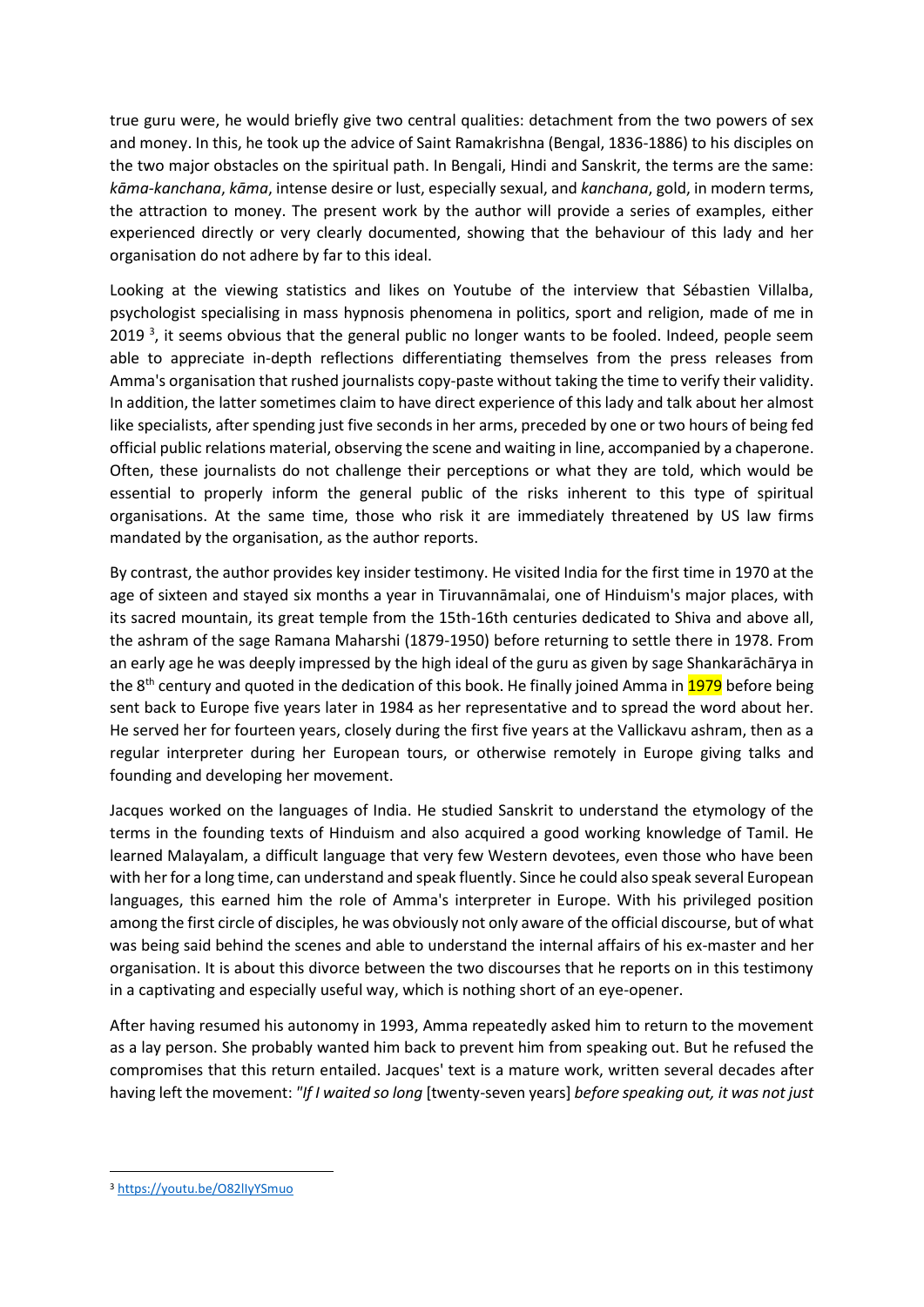true guru were, he would briefly give two central qualities: detachment from the two powers of sex and money. In this, he took up the advice of Saint Ramakrishna (Bengal, 1836-1886) to his disciples on the two major obstacles on the spiritual path. In Bengali, Hindi and Sanskrit, the terms are the same: *kāma-kanchana*, *kāma*, intense desire or lust, especially sexual, and *kanchana*, gold, in modern terms, the attraction to money. The present work by the author will provide a series of examples, either experienced directly or very clearly documented, showing that the behaviour of this lady and her organisation do not adhere by far to this ideal.

Looking at the viewing statistics and likes on Youtube of the interview that Sébastien Villalba, psychologist specialising in mass hypnosis phenomena in politics, sport and religion, made of me in 2019<sup>3</sup>, it seems obvious that the general public no longer wants to be fooled. Indeed, people seem able to appreciate in-depth reflections differentiating themselves from the press releases from Amma's organisation that rushed journalists copy-paste without taking the time to verify their validity. In addition, the latter sometimes claim to have direct experience of this lady and talk about her almost like specialists, after spending just five seconds in her arms, preceded by one or two hours of being fed official public relations material, observing the scene and waiting in line, accompanied by a chaperone. Often, these journalists do not challenge their perceptions or what they are told, which would be essential to properly inform the general public of the risks inherent to this type of spiritual organisations. At the same time, those who risk it are immediately threatened by US law firms mandated by the organisation, as the author reports.

By contrast, the author provides key insider testimony. He visited India for the first time in 1970 at the age of sixteen and stayed six months a year in Tiruvannāmalai, one of Hinduism's major places, with its sacred mountain, its great temple from the 15th-16th centuries dedicated to Shiva and above all, the ashram of the sage Ramana Maharshi (1879-1950) before returning to settle there in 1978. From an early age he was deeply impressed by the high ideal of the guru as given by sage Shankarāchārya in the 8<sup>th</sup> century and quoted in the dedication of this book. He finally joined Amma in 1979 before being sent back to Europe five years later in 1984 as her representative and to spread the word about her. He served her for fourteen years, closely during the first five years at the Vallickavu ashram, then as a regular interpreter during her European tours, or otherwise remotely in Europe giving talks and founding and developing her movement.

Jacques worked on the languages of India. He studied Sanskrit to understand the etymology of the terms in the founding texts of Hinduism and also acquired a good working knowledge of Tamil. He learned Malayalam, a difficult language that very few Western devotees, even those who have been with her for a long time, can understand and speak fluently. Since he could also speak several European languages, this earned him the role of Amma's interpreter in Europe. With his privileged position among the first circle of disciples, he was obviously not only aware of the official discourse, but of what was being said behind the scenes and able to understand the internal affairs of his ex-master and her organisation. It is about this divorce between the two discourses that he reports on in this testimony in a captivating and especially useful way, which is nothing short of an eye-opener.

After having resumed his autonomy in 1993, Amma repeatedly asked him to return to the movement as a lay person. She probably wanted him back to prevent him from speaking out. But he refused the compromises that this return entailed. Jacques' text is a mature work, written several decades after having left the movement: *"If I waited so long* [twenty-seven years] *before speaking out, it was not just* 

<sup>3</sup> <https://youtu.be/O82lIyYSmuo>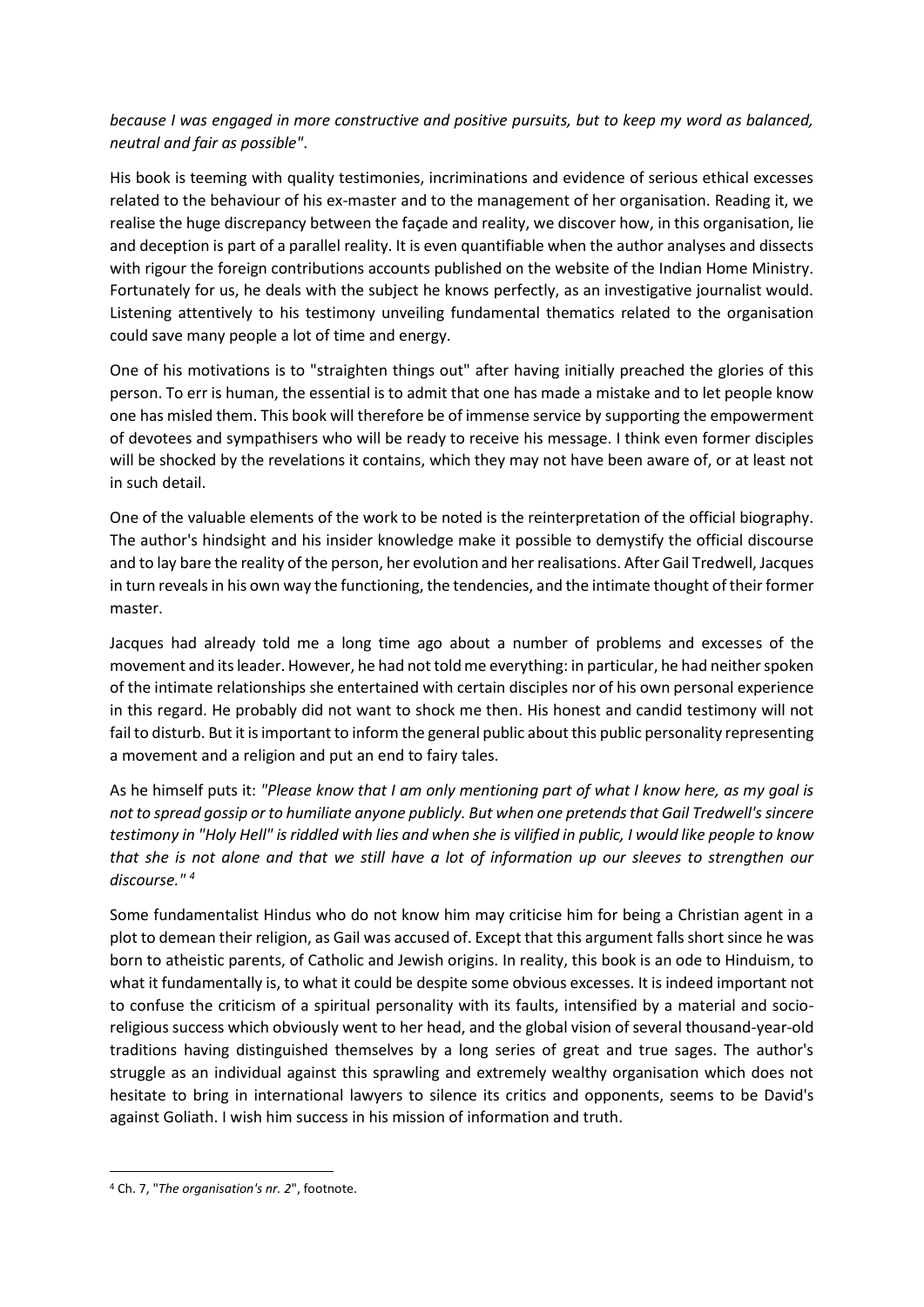## *because I was engaged in more constructive and positive pursuits, but to keep my word as balanced, neutral and fair as possible"*.

His book is teeming with quality testimonies, incriminations and evidence of serious ethical excesses related to the behaviour of his ex-master and to the management of her organisation. Reading it, we realise the huge discrepancy between the façade and reality, we discover how, in this organisation, lie and deception is part of a parallel reality. It is even quantifiable when the author analyses and dissects with rigour the foreign contributions accounts published on the website of the Indian Home Ministry. Fortunately for us, he deals with the subject he knows perfectly, as an investigative journalist would. Listening attentively to his testimony unveiling fundamental thematics related to the organisation could save many people a lot of time and energy.

One of his motivations is to "straighten things out" after having initially preached the glories of this person. To err is human, the essential is to admit that one has made a mistake and to let people know one has misled them. This book will therefore be of immense service by supporting the empowerment of devotees and sympathisers who will be ready to receive his message. I think even former disciples will be shocked by the revelations it contains, which they may not have been aware of, or at least not in such detail.

One of the valuable elements of the work to be noted is the reinterpretation of the official biography. The author's hindsight and his insider knowledge make it possible to demystify the official discourse and to lay bare the reality of the person, her evolution and her realisations. After Gail Tredwell, Jacques in turn reveals in his own way the functioning, the tendencies, and the intimate thought of their former master.

Jacques had already told me a long time ago about a number of problems and excesses of the movement and its leader. However, he had not told me everything: in particular, he had neither spoken of the intimate relationships she entertained with certain disciples nor of his own personal experience in this regard. He probably did not want to shock me then. His honest and candid testimony will not fail to disturb. But it is important to inform the general public about this public personality representing a movement and a religion and put an end to fairy tales.

As he himself puts it: *"Please know that I am only mentioning part of what I know here, as my goal is not to spread gossip or to humiliate anyone publicly. But when one pretends that Gail Tredwell's sincere testimony in "Holy Hell" is riddled with lies and when she is vilified in public, I would like people to know that she is not alone and that we still have a lot of information up our sleeves to strengthen our discourse." <sup>4</sup>*

Some fundamentalist Hindus who do not know him may criticise him for being a Christian agent in a plot to demean their religion, as Gail was accused of. Except that this argument falls short since he was born to atheistic parents, of Catholic and Jewish origins. In reality, this book is an ode to Hinduism, to what it fundamentally is, to what it could be despite some obvious excesses. It is indeed important not to confuse the criticism of a spiritual personality with its faults, intensified by a material and socioreligious success which obviously went to her head, and the global vision of several thousand-year-old traditions having distinguished themselves by a long series of great and true sages. The author's struggle as an individual against this sprawling and extremely wealthy organisation which does not hesitate to bring in international lawyers to silence its critics and opponents, seems to be David's against Goliath. I wish him success in his mission of information and truth.

<sup>4</sup> Ch. 7, "*The organisation's nr. 2*", footnote.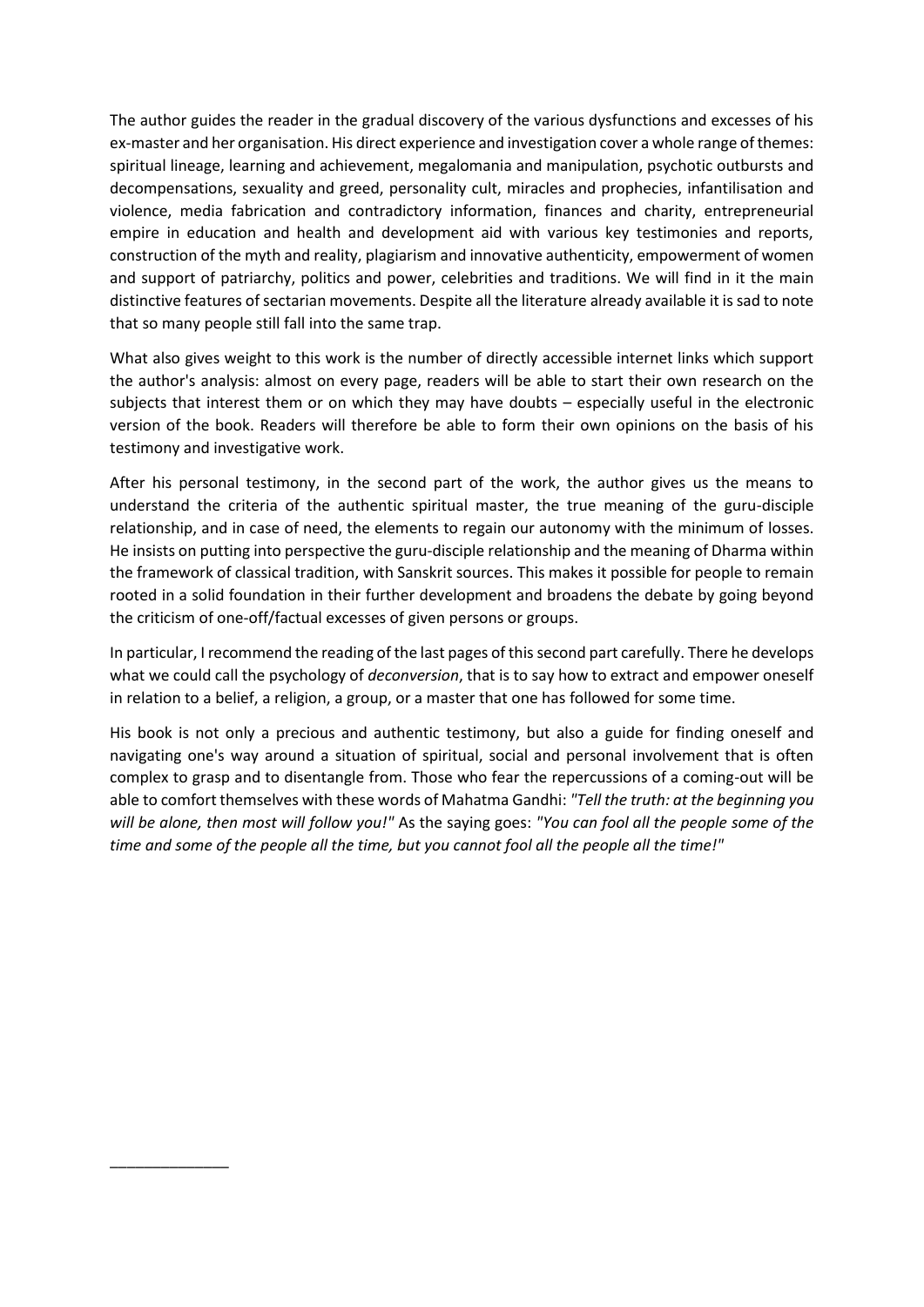The author guides the reader in the gradual discovery of the various dysfunctions and excesses of his ex-master and her organisation. His direct experience and investigation cover a whole range of themes: spiritual lineage, learning and achievement, megalomania and manipulation, psychotic outbursts and decompensations, sexuality and greed, personality cult, miracles and prophecies, infantilisation and violence, media fabrication and contradictory information, finances and charity, entrepreneurial empire in education and health and development aid with various key testimonies and reports, construction of the myth and reality, plagiarism and innovative authenticity, empowerment of women and support of patriarchy, politics and power, celebrities and traditions. We will find in it the main distinctive features of sectarian movements. Despite all the literature already available it is sad to note that so many people still fall into the same trap.

What also gives weight to this work is the number of directly accessible internet links which support the author's analysis: almost on every page, readers will be able to start their own research on the subjects that interest them or on which they may have doubts – especially useful in the electronic version of the book. Readers will therefore be able to form their own opinions on the basis of his testimony and investigative work.

After his personal testimony, in the second part of the work, the author gives us the means to understand the criteria of the authentic spiritual master, the true meaning of the guru-disciple relationship, and in case of need, the elements to regain our autonomy with the minimum of losses. He insists on putting into perspective the guru-disciple relationship and the meaning of Dharma within the framework of classical tradition, with Sanskrit sources. This makes it possible for people to remain rooted in a solid foundation in their further development and broadens the debate by going beyond the criticism of one-off/factual excesses of given persons or groups.

In particular, I recommend the reading of the last pages of this second part carefully. There he develops what we could call the psychology of *deconversion*, that is to say how to extract and empower oneself in relation to a belief, a religion, a group, or a master that one has followed for some time.

His book is not only a precious and authentic testimony, but also a guide for finding oneself and navigating one's way around a situation of spiritual, social and personal involvement that is often complex to grasp and to disentangle from. Those who fear the repercussions of a coming-out will be able to comfort themselves with these words of Mahatma Gandhi: *"Tell the truth: at the beginning you will be alone, then most will follow you!"* As the saying goes: *"You can fool all the people some of the time and some of the people all the time, but you cannot fool all the people all the time!"*

\_\_\_\_\_\_\_\_\_\_\_\_\_\_